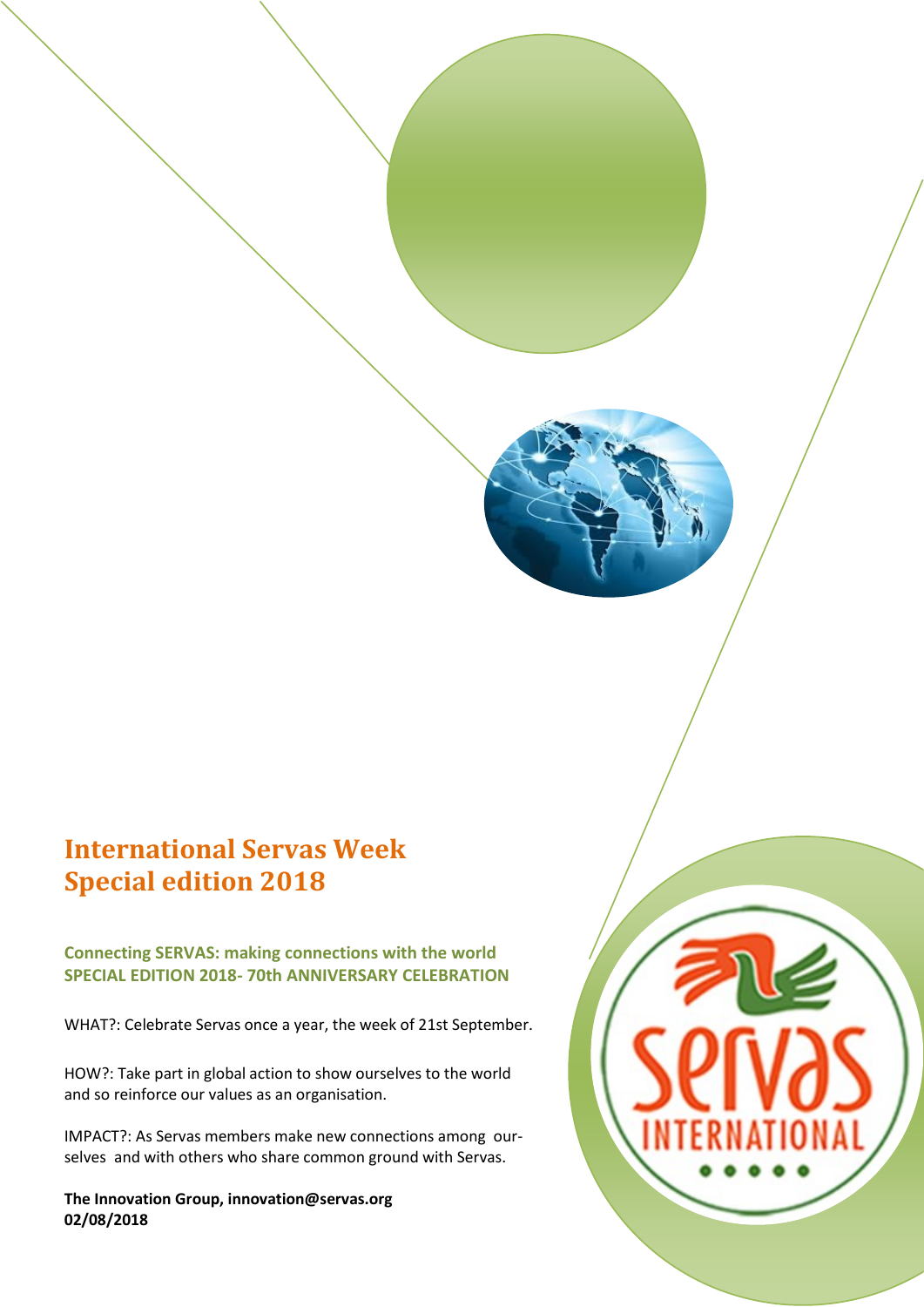# **International Servas Week Special edition 2018**

**Connecting SERVAS: making connections with the world SPECIAL EDITION 2018- 70th ANNIVERSARY CELEBRATION**

WHAT?: Celebrate Servas once a year, the week of 21st September.

HOW?: Take part in global action to show ourselves to the world and so reinforce our values as an organisation.

IMPACT?: As Servas members make new connections among ourselves and with others who share common ground with Servas.

**The Innovation Group, innovation@servas.org 02/08/2018**

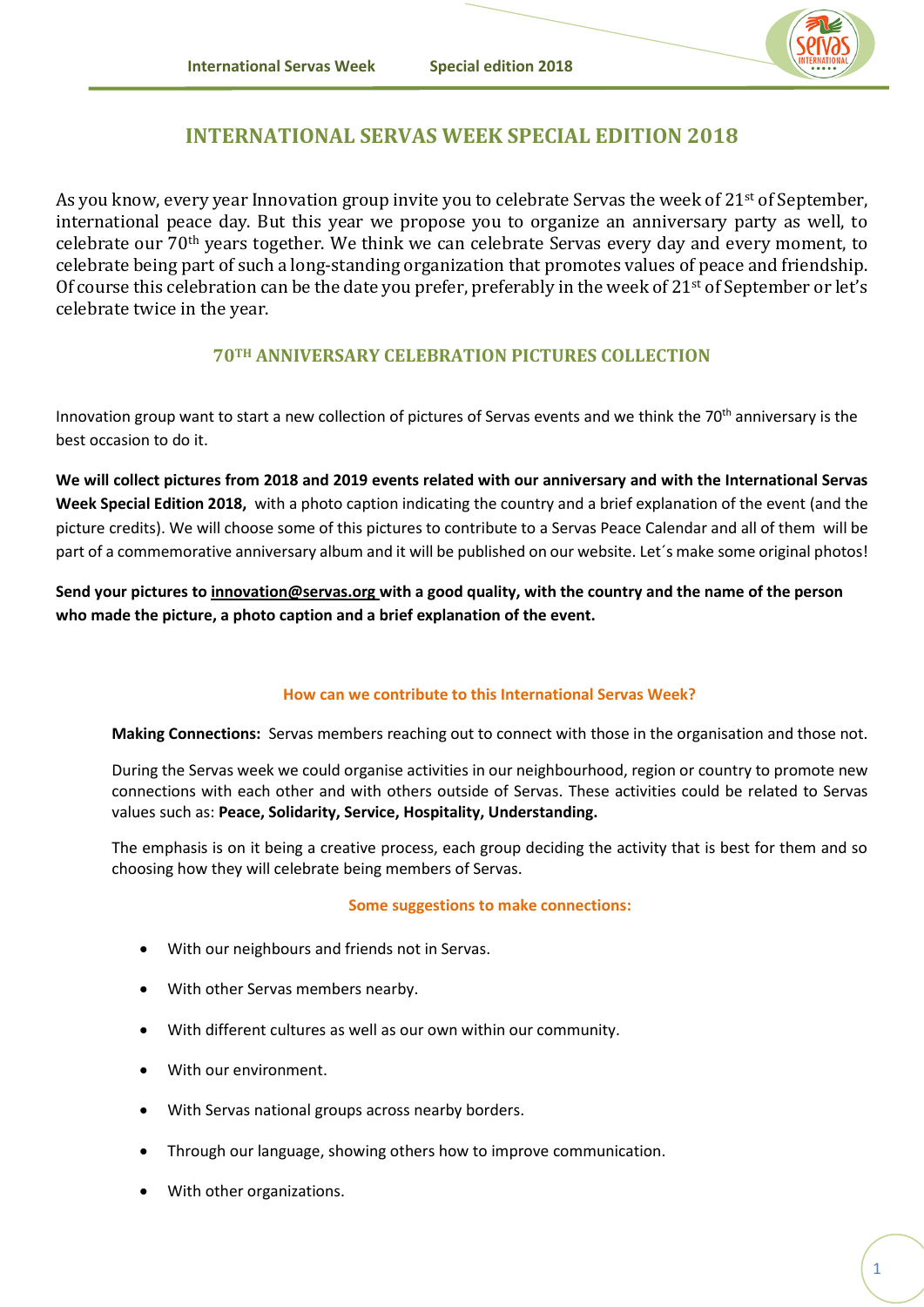

## **INTERNATIONAL SERVAS WEEK SPECIAL EDITION 2018**

As you know, every year Innovation group invite you to celebrate Servas the week of 21<sup>st</sup> of September, international peace day. But this year we propose you to organize an anniversary party as well, to celebrate our 70th years together. We think we can celebrate Servas every day and every moment, to celebrate being part of such a long-standing organization that promotes values of peace and friendship. Of course this celebration can be the date you prefer, preferably in the week of 21st of September or let's celebrate twice in the year.

### **70TH ANNIVERSARY CELEBRATION PICTURES COLLECTION**

Innovation group want to start a new collection of pictures of Servas events and we think the 70<sup>th</sup> anniversary is the best occasion to do it.

**We will collect pictures from 2018 and 2019 events related with our anniversary and with the International Servas Week Special Edition 2018,** with a photo caption indicating the country and a brief explanation of the event (and the picture credits). We will choose some of this pictures to contribute to a Servas Peace Calendar and all of them will be part of a commemorative anniversary album and it will be published on our website. Let's make some original photos!

**Send your pictures to [innovation@servas.org](mailto:innovation@servas.org) with a good quality, with the country and the name of the person who made the picture, a photo caption and a brief explanation of the event.**

#### **How can we contribute to this International Servas Week?**

**Making Connections:** Servas members reaching out to connect with those in the organisation and those not.

During the Servas week we could organise activities in our neighbourhood, region or country to promote new connections with each other and with others outside of Servas. These activities could be related to Servas values such as: **Peace, Solidarity, Service, Hospitality, Understanding.**

The emphasis is on it being a creative process, each group deciding the activity that is best for them and so choosing how they will celebrate being members of Servas.

#### **Some suggestions to make connections:**

- With our neighbours and friends not in Servas.
- With other Servas members nearby.
- With different cultures as well as our own within our community.
- With our environment.
- With Servas national groups across nearby borders.
- Through our language, showing others how to improve communication.
- With other organizations.